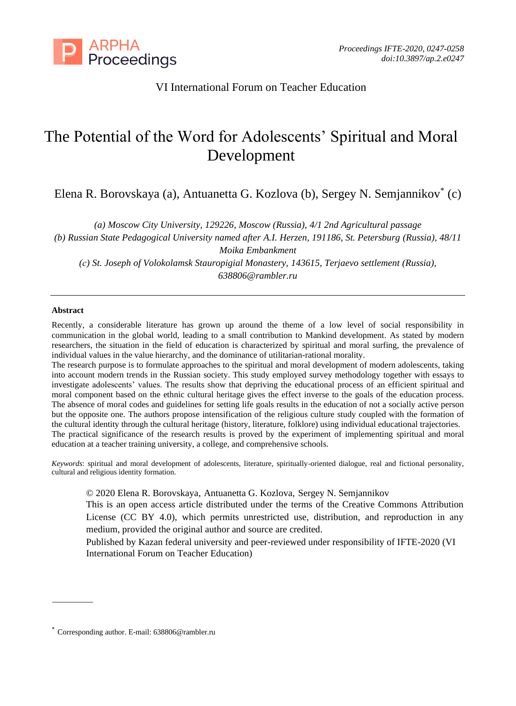

## VI International Forum on Teacher Education

# The Potential of the Word for Adolescents' Spiritual and Moral Development

Elena R. Borovskaya (a), Antuanetta G. Kozlova (b), Sergey N. Semjannikov\* (c)

*(a) Moscow City University, 129226, Moscow (Russia), 4/1 2nd Agricultural passage (b) Russian State Pedagogical University named after A.I. Herzen, 191186, St. Petersburg (Russia), 48/11 Moika Embankment (с) St. Joseph of Volokolamsk Stauropigial Monastery, 143615, Terjaevo settlement (Russia), 638806@rambler.ru*

#### **Abstract**

Recently, a considerable literature has grown up around the theme of a low level of social responsibility in communication in the global world, leading to a small contribution to Mankind development. As stated by modern researchers, the situation in the field of education is characterized by spiritual and moral surfing, the prevalence of individual values in the value hierarchy, and the dominance of utilitarian-rational morality.

The research purpose is to formulate approaches to the spiritual and moral development of modern adolescents, taking into account modern trends in the Russian society. This study employed survey methodology together with essays to investigate adolescents' values. The results show that depriving the educational process of an efficient spiritual and moral component based on the ethnic cultural heritage gives the effect inverse to the goals of the education process. The absence of moral codes and guidelines for setting life goals results in the education of not a socially active person but the opposite one. The authors propose intensification of the religious culture study coupled with the formation of the cultural identity through the cultural heritage (history, literature, folklore) using individual educational trajectories. The practical significance of the research results is proved by the experiment of implementing spiritual and moral education at a teacher training university, a college, and comprehensive schools.

*Keywords*: spiritual and moral development of adolescents, literature, spiritually-oriented dialogue, real and fictional personality, cultural and religious identity formation.

© 2020 Elena R. Borovskaya, Antuanetta G. Kozlova, Sergey N. Semjannikov

This is an open access article distributed under the terms of the Creative Commons Attribution License (CC BY 4.0), which permits unrestricted use, distribution, and reproduction in any medium, provided the original author and source are credited.

Published by Kazan federal university and peer-reviewed under responsibility of IFTE-2020 (VI International Forum on Teacher Education)

<sup>\*</sup> Corresponding author. E-mail: 638806@rambler.ru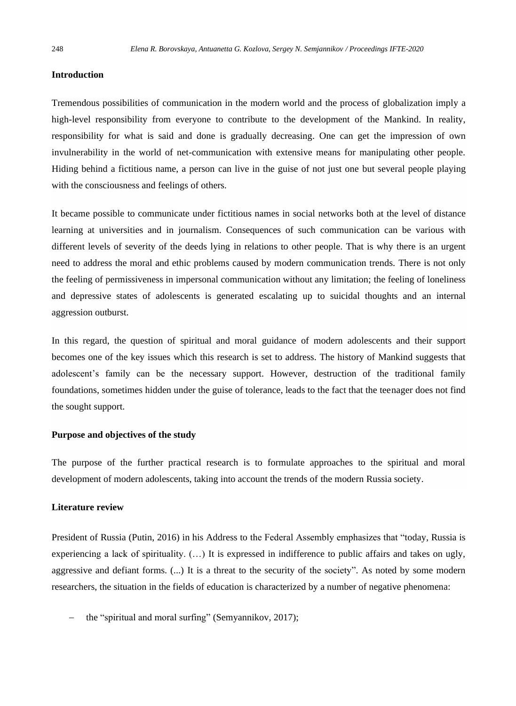#### **Introduction**

Tremendous possibilities of communication in the modern world and the process of globalization imply a high-level responsibility from everyone to contribute to the development of the Mankind. In reality, responsibility for what is said and done is gradually decreasing. One can get the impression of own invulnerability in the world of net-communication with extensive means for manipulating other people. Hiding behind a fictitious name, a person can live in the guise of not just one but several people playing with the consciousness and feelings of others.

It became possible to communicate under fictitious names in social networks both at the level of distance learning at universities and in journalism. Consequences of such communication can be various with different levels of severity of the deeds lying in relations to other people. That is why there is an urgent need to address the moral and ethic problems caused by modern communication trends. There is not only the feeling of permissiveness in impersonal communication without any limitation; the feeling of loneliness and depressive states of adolescents is generated escalating up to suicidal thoughts and an internal aggression outburst.

In this regard, the question of spiritual and moral guidance of modern adolescents and their support becomes one of the key issues which this research is set to address. The history of Mankind suggests that adolescent's family can be the necessary support. However, destruction of the traditional family foundations, sometimes hidden under the guise of tolerance, leads to the fact that the teenager does not find the sought support.

#### **Purpose and objectives of the study**

The purpose of the further practical research is to formulate approaches to the spiritual and moral development of modern adolescents, taking into account the trends of the modern Russia society.

#### **Literature review**

President of Russia (Putin, 2016) in his Address to the Federal Assembly emphasizes that "today, Russia is experiencing a lack of spirituality.  $(...)$  It is expressed in indifference to public affairs and takes on ugly, aggressive and defiant forms. (...) It is a threat to the security of the society". As noted by some modern researchers, the situation in the fields of education is characterized by a number of negative phenomena:

the "spiritual and moral surfing" (Semyannikov, 2017);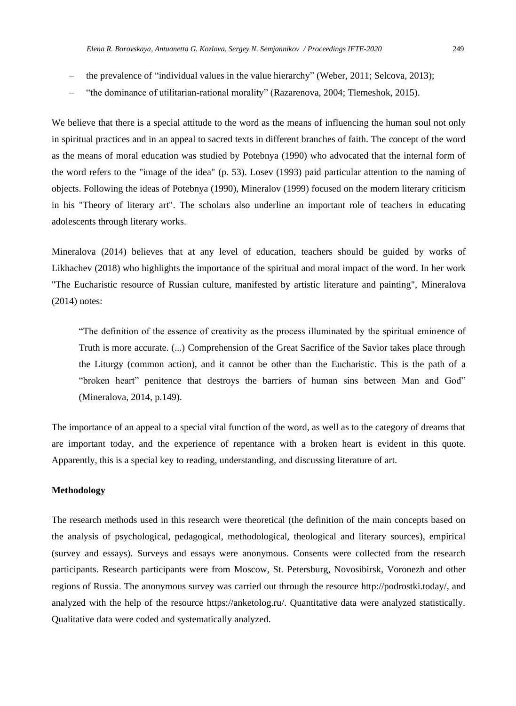- 
- the prevalence of "individual values in the value hierarchy" (Weber, 2011; Selcova, 2013);
- − "the dominance of utilitarian-rational morality" (Razarenova, 2004; Tlemeshok, 2015).

We believe that there is a special attitude to the word as the means of influencing the human soul not only in spiritual practices and in an appeal to sacred texts in different branches of faith. The concept of the word as the means of moral education was studied by Potebnya (1990) who advocated that the internal form of the word refers to the "image of the idea" (p. 53). Losev (1993) paid particular attention to the naming of objects. Following the ideas of Potebnya (1990), Mineralov (1999) focused on the modern literary criticism in his "Theory of literary art". The scholars also underline an important role of teachers in educating adolescents through literary works.

Mineralova (2014) believes that at any level of education, teachers should be guided by works of Likhachev (2018) who highlights the importance of the spiritual and moral impact of the word. In her work "The Eucharistic resource of Russian culture, manifested by artistic literature and painting", Mineralova (2014) notes:

"The definition of the essence of creativity as the process illuminated by the spiritual eminence of Truth is more accurate. (...) Comprehension of the Great Sacrifice of the Savior takes place through the Liturgy (common action), and it cannot be other than the Eucharistic. This is the path of a "broken heart" penitence that destroys the barriers of human sins between Man and God" (Mineralova, 2014, p.149).

The importance of an appeal to a special vital function of the word, as well as to the category of dreams that are important today, and the experience of repentance with a broken heart is evident in this quote. Apparently, this is a special key to reading, understanding, and discussing literature of art.

#### **Methodology**

The research methods used in this research were theoretical (the definition of the main concepts based on the analysis of psychological, pedagogical, methodological, theological and literary sources), empirical (survey and essays). Surveys and essays were anonymous. Consents were collected from the research participants. Research participants were from Moscow, St. Petersburg, Novosibirsk, Voronezh and other regions of Russia. The anonymous survey was carried out through the resource [http://podrostki.today/,](http://podrostki.today/) and analyzed with the help of the resource [https://anketolog.ru/.](https://anketolog.ru/) Quantitative data were analyzed statistically. Qualitative data were coded and systematically analyzed.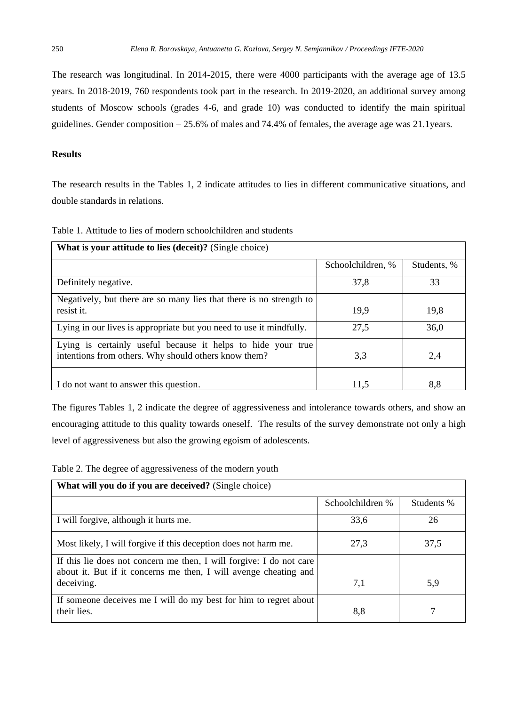The research was longitudinal. In 2014-2015, there were 4000 participants with the average age of 13.5 years. In 2018-2019, 760 respondents took part in the research. In 2019-2020, an additional survey among students of Moscow schools (grades 4-6, and grade 10) was conducted to identify the main spiritual guidelines. Gender composition – 25.6% of males and 74.4% of females, the average age was 21.1years.

## **Results**

The research results in the Tables 1, 2 indicate attitudes to lies in different communicative situations, and double standards in relations.

| Table 1. Attitude to lies of modern schoolchildren and students |  |
|-----------------------------------------------------------------|--|
|-----------------------------------------------------------------|--|

| What is your attitude to lies (deceit)? (Single choice)                                                              |                   |             |  |  |
|----------------------------------------------------------------------------------------------------------------------|-------------------|-------------|--|--|
|                                                                                                                      | Schoolchildren, % | Students, % |  |  |
| Definitely negative.                                                                                                 | 37,8              | 33          |  |  |
| Negatively, but there are so many lies that there is no strength to<br>resist it.                                    | 19.9              | 19.8        |  |  |
| Lying in our lives is appropriate but you need to use it mindfully.                                                  | 27,5              | 36,0        |  |  |
| Lying is certainly useful because it helps to hide your true<br>intentions from others. Why should others know them? | 3.3               | 2,4         |  |  |
| I do not want to answer this question.                                                                               | 11.5              | 8.8         |  |  |

The figures Tables 1, 2 indicate the degree of aggressiveness and intolerance towards others, and show an encouraging attitude to this quality towards oneself. The results of the survey demonstrate not only a high level of aggressiveness but also the growing egoism of adolescents.

Table 2. The degree of aggressiveness of the modern youth

| What will you do if you are deceived? (Single choice)               |                  |            |  |  |
|---------------------------------------------------------------------|------------------|------------|--|--|
|                                                                     | Schoolchildren % | Students % |  |  |
| I will forgive, although it hurts me.                               | 33,6             | 26         |  |  |
| Most likely, I will forgive if this deception does not harm me.     | 27,3             | 37,5       |  |  |
| If this lie does not concern me then, I will forgive: I do not care |                  |            |  |  |
| about it. But if it concerns me then, I will avenge cheating and    |                  |            |  |  |
| deceiving.                                                          | 7,1              | 5,9        |  |  |
| If someone deceives me I will do my best for him to regret about    |                  |            |  |  |
| their lies.                                                         | 8.8              |            |  |  |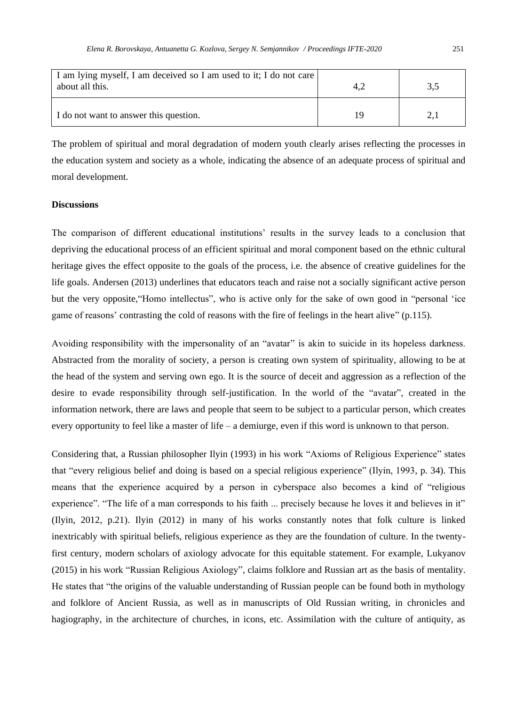| I am lying myself, I am deceived so I am used to it; I do not care<br>about all this. |    | 3.5 |
|---------------------------------------------------------------------------------------|----|-----|
| I do not want to answer this question.                                                | 19 |     |

The problem of spiritual and moral degradation of modern youth clearly arises reflecting the processes in the education system and society as a whole, indicating the absence of an adequate process of spiritual and moral development.

#### **Discussions**

The comparison of different educational institutions' results in the survey leads to a conclusion that depriving the educational process of an efficient spiritual and moral component based on the ethnic cultural heritage gives the effect opposite to the goals of the process, i.e. the absence of creative guidelines for the life goals. Andersen (2013) underlines that educators teach and raise not a socially significant active person but the very opposite,"Homo intellectus", who is active only for the sake of own good in "personal 'ice game of reasons' contrasting the cold of reasons with the fire of feelings in the heart alive" (p.115).

Avoiding responsibility with the impersonality of an "avatar" is akin to suicide in its hopeless darkness. Abstracted from the morality of society, a person is creating own system of spirituality, allowing to be at the head of the system and serving own ego. It is the source of deceit and aggression as a reflection of the desire to evade responsibility through self-justification. In the world of the "avatar", created in the information network, there are laws and people that seem to be subject to a particular person, which creates every opportunity to feel like a master of life – a demiurge, even if this word is unknown to that person.

Considering that, a Russian philosopher Ilyin (1993) in his work "Axioms of Religious Experience" states that "every religious belief and doing is based on a special religious experience" (Ilyin, 1993, p. 34). This means that the experience acquired by a person in cyberspace also becomes a kind of "religious experience". "The life of a man corresponds to his faith ... precisely because he loves it and believes in it" (Ilyin, 2012, p.21). Ilyin (2012) in many of his works constantly notes that folk culture is linked inextricably with spiritual beliefs, religious experience as they are the foundation of culture. In the twentyfirst century, modern scholars of axiology advocate for this equitable statement. For example, Lukyanov (2015) in his work "Russian Religious Axiology", claims folklore and Russian art as the basis of mentality. He states that "the origins of the valuable understanding of Russian people can be found both in mythology and folklore of Ancient Russia, as well as in manuscripts of Old Russian writing, in chronicles and hagiography, in the architecture of churches, in icons, etc. Assimilation with the culture of antiquity, as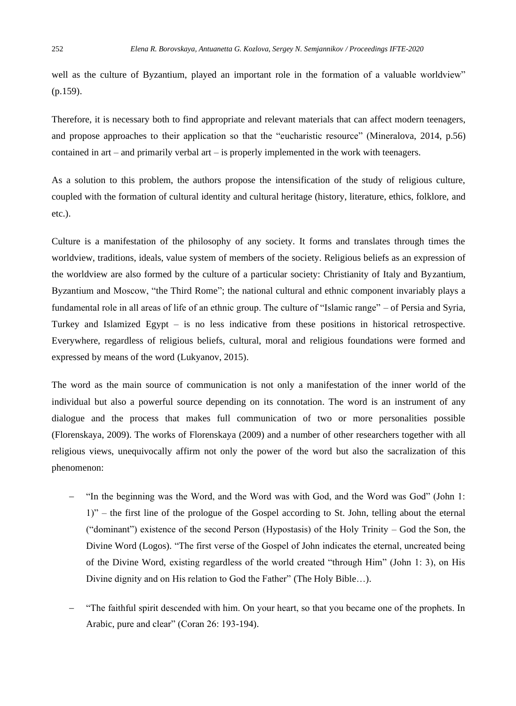well as the culture of Byzantium, played an important role in the formation of a valuable worldview" (p.159).

Therefore, it is necessary both to find appropriate and relevant materials that can affect modern teenagers, and propose approaches to their application so that the "eucharistic resource" (Mineralova, 2014, p.56) contained in art – and primarily verbal art – is properly implemented in the work with teenagers.

As a solution to this problem, the authors propose the intensification of the study of religious culture, coupled with the formation of cultural identity and cultural heritage (history, literature, ethics, folklore, and etc.).

Culture is a manifestation of the philosophy of any society. It forms and translates through times the worldview, traditions, ideals, value system of members of the society. Religious beliefs as an expression of the worldview are also formed by the culture of a particular society: Christianity of Italy and Byzantium, Byzantium and Moscow, "the Third Rome"; the national cultural and ethnic component invariably plays a fundamental role in all areas of life of an ethnic group. The culture of "Islamic range" – of Persia and Syria, Turkey and Islamized Egypt – is no less indicative from these positions in historical retrospective. Everywhere, regardless of religious beliefs, cultural, moral and religious foundations were formed and expressed by means of the word (Lukyanov, 2015).

The word as the main source of communication is not only a manifestation of the inner world of the individual but also a powerful source depending on its connotation. The word is an instrument of any dialogue and the process that makes full communication of two or more personalities possible (Florenskaya, 2009). The works of Florenskaya (2009) and a number of other researchers together with all religious views, unequivocally affirm not only the power of the word but also the sacralization of this phenomenon:

- − "In the beginning was the Word, and the Word was with God, and the Word was God" (John 1: 1)" – the first line of the prologue of the Gospel according to St. John, telling about the eternal ("dominant") existence of the second Person (Hypostasis) of the Holy Trinity – God the Son, the Divine Word (Logos). "The first verse of the Gospel of John indicates the eternal, uncreated being of the Divine Word, existing regardless of the world created "through Him" (John 1: 3), on His Divine dignity and on His relation to God the Father" (The Holy Bible…).
- − "The faithful spirit descended with him. On your heart, so that you became one of the prophets. In Arabic, pure and clear" (Coran 26: 193-194).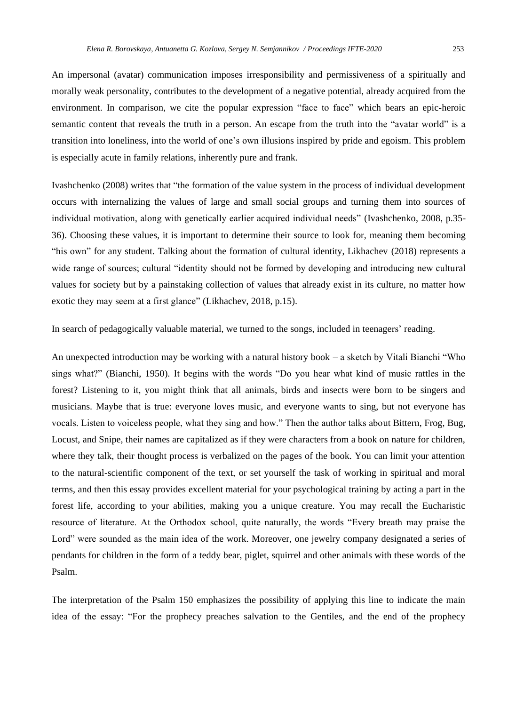An impersonal (avatar) communication imposes irresponsibility and permissiveness of a spiritually and morally weak personality, contributes to the development of a negative potential, already acquired from the environment. In comparison, we cite the popular expression "face to face" which bears an epic-heroic semantic content that reveals the truth in a person. An escape from the truth into the "avatar world" is a transition into loneliness, into the world of one's own illusions inspired by pride and egoism. This problem is especially acute in family relations, inherently pure and frank.

Ivashchenko (2008) writes that "the formation of the value system in the process of individual development occurs with internalizing the values of large and small social groups and turning them into sources of individual motivation, along with genetically earlier acquired individual needs" (Ivashchenko, 2008, p.35- 36). Choosing these values, it is important to determine their source to look for, meaning them becoming "his own" for any student. Talking about the formation of cultural identity, Likhachev (2018) represents a wide range of sources; cultural "identity should not be formed by developing and introducing new cultural values for society but by a painstaking collection of values that already exist in its culture, no matter how exotic they may seem at a first glance" (Likhachev, 2018, p.15).

In search of pedagogically valuable material, we turned to the songs, included in teenagers' reading.

An unexpected introduction may be working with a natural history book – a sketch by Vitali Bianchi "Who sings what?" (Bianchi, 1950). It begins with the words "Do you hear what kind of music rattles in the forest? Listening to it, you might think that all animals, birds and insects were born to be singers and musicians. Maybe that is true: everyone loves music, and everyone wants to sing, but not everyone has vocals. Listen to voiceless people, what they sing and how." Then the author talks about Bittern, Frog, Bug, Locust, and Snipe, their names are capitalized as if they were characters from a book on nature for children, where they talk, their thought process is verbalized on the pages of the book. You can limit your attention to the natural-scientific component of the text, or set yourself the task of working in spiritual and moral terms, and then this essay provides excellent material for your psychological training by acting a part in the forest life, according to your abilities, making you a unique creature. You may recall the Eucharistic resource of literature. At the Orthodox school, quite naturally, the words "Every breath may praise the Lord" were sounded as the main idea of the work. Moreover, one jewelry company designated a series of pendants for children in the form of a teddy bear, piglet, squirrel and other animals with these words of the Psalm.

The interpretation of the Psalm 150 emphasizes the possibility of applying this line to indicate the main idea of the essay: "For the prophecy preaches salvation to the Gentiles, and the end of the prophecy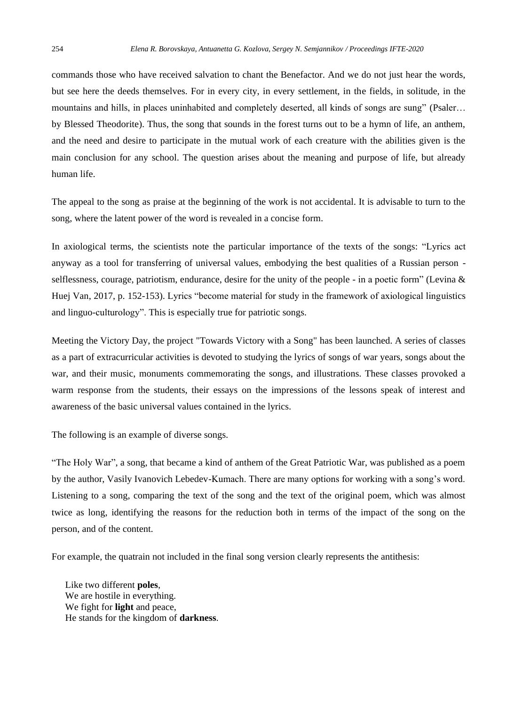commands those who have received salvation to chant the Benefactor. And we do not just hear the words, but see here the deeds themselves. For in every city, in every settlement, in the fields, in solitude, in the mountains and hills, in places uninhabited and completely deserted, all kinds of songs are sung" (Psaler... by Blessed Theodorite). Thus, the song that sounds in the forest turns out to be a hymn of life, an anthem, and the need and desire to participate in the mutual work of each creature with the abilities given is the main conclusion for any school. The question arises about the meaning and purpose of life, but already human life.

The appeal to the song as praise at the beginning of the work is not accidental. It is advisable to turn to the song, where the latent power of the word is revealed in a concise form.

In axiological terms, the scientists note the particular importance of the texts of the songs: "Lyrics act anyway as a tool for transferring of universal values, embodying the best qualities of a Russian person selflessness, courage, patriotism, endurance, desire for the unity of the people - in a poetic form" (Levina & Huej Van, 2017, p. 152-153). Lyrics "become material for study in the framework of axiological linguistics and linguo-culturology". This is especially true for patriotic songs.

Meeting the Victory Day, the project "Towards Victory with a Song" has been launched. A series of classes as a part of extracurricular activities is devoted to studying the lyrics of songs of war years, songs about the war, and their music, monuments commemorating the songs, and illustrations. These classes provoked a warm response from the students, their essays on the impressions of the lessons speak of interest and awareness of the basic universal values contained in the lyrics.

The following is an example of diverse songs.

"The Holy War", a song, that became a kind of anthem of the Great Patriotic War, was published as a poem by the author, Vasily Ivanovich Lebedev-Kumach. There are many options for working with a song's word. Listening to a song, comparing the text of the song and the text of the original poem, which was almost twice as long, identifying the reasons for the reduction both in terms of the impact of the song on the person, and of the content.

For example, the quatrain not included in the final song version clearly represents the antithesis:

Like two different **poles**, We are hostile in everything. We fight for **light** and peace, He stands for the kingdom of **darkness**.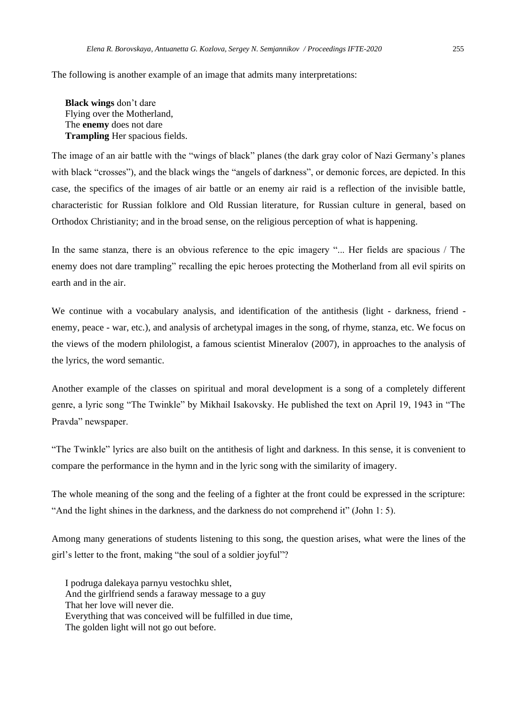The following is another example of an image that admits many interpretations:

**Black wings** don't dare Flying over the Motherland, The **enemy** does not dare **Trampling** Her spacious fields.

The image of an air battle with the "wings of black" planes (the dark gray color of Nazi Germany's planes with black "crosses"), and the black wings the "angels of darkness", or demonic forces, are depicted. In this case, the specifics of the images of air battle or an enemy air raid is a reflection of the invisible battle, characteristic for Russian folklore and Old Russian literature, for Russian culture in general, based on Orthodox Christianity; and in the broad sense, on the religious perception of what is happening.

In the same stanza, there is an obvious reference to the epic imagery "... Her fields are spacious / The enemy does not dare trampling" recalling the epic heroes protecting the Motherland from all evil spirits on earth and in the air.

We continue with a vocabulary analysis, and identification of the antithesis (light - darkness, friend enemy, peace - war, etc.), and analysis of archetypal images in the song, of rhyme, stanza, etc. We focus on the views of the modern philologist, a famous scientist Mineralov (2007), in approaches to the analysis of the lyrics, the word semantic.

Another example of the classes on spiritual and moral development is a song of a completely different genre, a lyric song "The Twinkle" by Mikhail Isakovsky. He published the text on April 19, 1943 in "The Pravda" newspaper.

"The Twinkle" lyrics are also built on the antithesis of light and darkness. In this sense, it is convenient to compare the performance in the hymn and in the lyric song with the similarity of imagery.

The whole meaning of the song and the feeling of a fighter at the front could be expressed in the scripture: "And the light shines in the darkness, and the darkness do not comprehend it" (John 1: 5).

Among many generations of students listening to this song, the question arises, what were the lines of the girl's letter to the front, making "the soul of a soldier joyful"?

I podruga dalekaya parnyu vestochku shlet, And the girlfriend sends a faraway message to a guy That her love will never die. Everything that was conceived will be fulfilled in due time, The golden light will not go out before.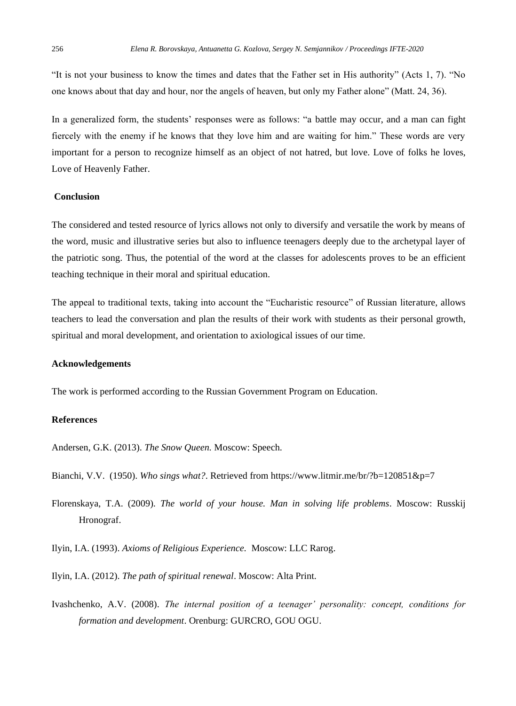"It is not your business to know the times and dates that the Father set in His authority" (Acts 1, 7). "No one knows about that day and hour, nor the angels of heaven, but only my Father alone" (Matt. 24, 36).

In a generalized form, the students' responses were as follows: "a battle may occur, and a man can fight fiercely with the enemy if he knows that they love him and are waiting for him." These words are very important for a person to recognize himself as an object of not hatred, but love. Love of folks he loves, Love of Heavenly Father.

## **Conclusion**

The considered and tested resource of lyrics allows not only to diversify and versatile the work by means of the word, music and illustrative series but also to influence teenagers deeply due to the archetypal layer of the patriotic song. Thus, the potential of the word at the classes for adolescents proves to be an efficient teaching technique in their moral and spiritual education.

The appeal to traditional texts, taking into account the "Eucharistic resource" of Russian literature, allows teachers to lead the conversation and plan the results of their work with students as their personal growth, spiritual and moral development, and orientation to axiological issues of our time.

#### **Acknowledgements**

The work is performed according to the Russian Government Program on Education.

## **References**

Andersen, G.K. (2013). *The Snow Queen.* Moscow: Speech.

Bianchi, V.V. (1950). *Who sings what?*. Retrieved from <https://www.litmir.me/br/?b=120851&p=7>

Florenskaya, T.A. (2009). *The world of your house. Man in solving life problems*. Moscow: Russkij Hronograf.

Ilyin, I.A. (1993). *Axioms of Religious Experience.* Moscow: LLC Rarog.

Ilyin, I.A. (2012). *The path of spiritual renewal*. Moscow: Alta Print.

Ivashchenko, A.V. (2008). *The internal position of a teenager' personality: concept, conditions for formation and development*. Orenburg: GURCRO, GOU OGU.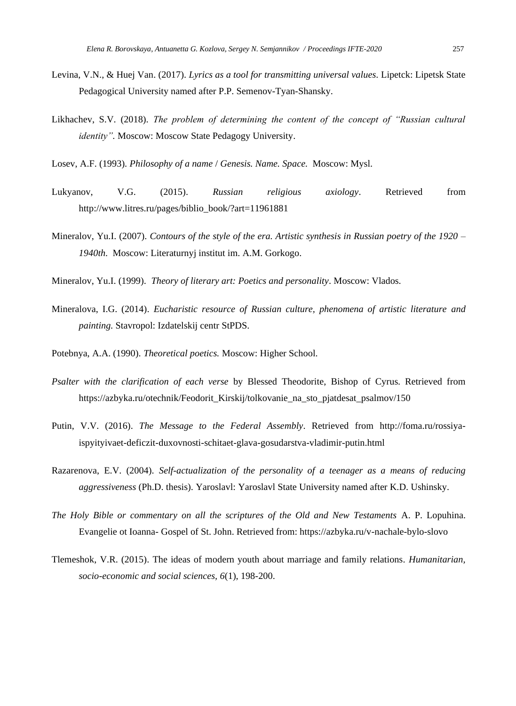- Levina, V.N., & Huej Van. (2017). *Lyrics as a tool for transmitting universal values.* Lipetck: Lipetsk State Pedagogical University named after P.P. Semenov-Tyan-Shansky.
- Likhachev, S.V. (2018). *The problem of determining the content of the concept of "Russian cultural identity".* Moscow: Moscow State Pedagogy University.

Losev, A.F. (1993). *Philosophy of a name* / *Genesis. Name. Space.* Moscow: Mysl.

- Lukyanov, V.G. (2015). *Russian religious axiology*. Retrieved from http://www.litres.ru/pages/biblio\_book/?art=11961881
- Mineralov, Yu.I. (2007). *Contours of the style of the era. Artistic synthesis in Russian poetry of the 1920 – 1940th*. Moscow: Literaturnyj institut im. A.M. Gorkogo.
- Mineralov, Yu.I. (1999). *Theory of literary art: Poetics and personality*. Moscow: Vlados.
- Mineralova, I.G. (2014). *Eucharistic resource of Russian culture, phenomena of artistic literature and painting.* Stavropol: Izdatelskij centr StPDS.
- Potebnya, A.A. (1990). *Theoretical poetics.* Moscow: Higher School.
- *Psalter with the clarification of each verse* by Blessed Theodorite, Bishop of Cyrus. Retrieved from [https://azbyka.ru/otechnik/Feodorit\\_Kirskij/tolkovanie\\_na\\_sto\\_pjatdesat\\_psalmov/150](https://azbyka.ru/otechnik/Feodorit_Kirskij/tolkovanie_na_sto_pjatdesat_psalmov/150)
- Putin, V.V. (2016). *The Message to the Federal Assembly*. Retrieved from [http://foma.ru/rossiya](http://foma.ru/rossiya-ispyityivaet-deficzit-duxovnosti-schitaet-glava-gosudarstva-vladimir-putin.html)[ispyityivaet-deficzit-duxovnosti-schitaet-glava-gosudarstva-vladimir-putin.html](http://foma.ru/rossiya-ispyityivaet-deficzit-duxovnosti-schitaet-glava-gosudarstva-vladimir-putin.html)
- Razarenova, E.V. (2004). *Self-actualization of the personality of a teenager as a means of reducing aggressiveness* (Ph.D. thesis). Yaroslavl: Yaroslavl State University named after K.D. Ushinsky.
- *The Holy Bible or commentary on all the scriptures of the Old and New Testaments* A. P. Lopuhina. Evangelie ot Ioanna- Gospel of St. John. Retrieved from: https://azbyka.ru/v-nachale-bylo-slovo
- Tlemeshok, V.R. (2015). The ideas of modern youth about marriage and family relations*. Humanitarian, socio-economic and social sciences, 6*(1), 198-200.